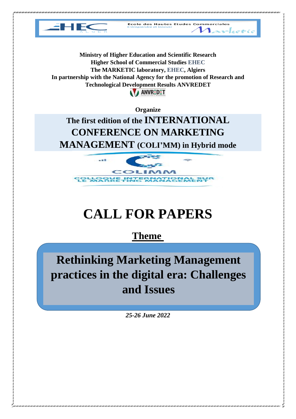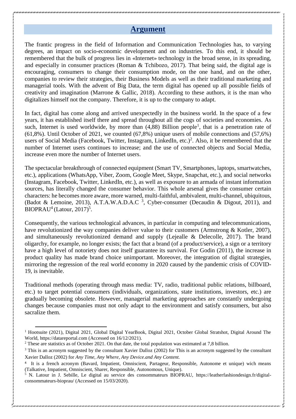# **Argument**

The frantic progress in the field of Information and Communication Technologies has, to varying degrees, an impact on socio-economic development and on industries. To this end, it should be remembered that the bulk of progress lies in «Internet» technology in the broad sense, in its spreading, and especially in consumer practices (Roman & Tchibozo, 2017). That being said, the digital age is encouraging, consumers to change their consumption mode, on the one hand, and on the other, companies to review their strategies, their Business Models as well as their traditional marketing and managerial tools. With the advent of Big Data, the term digital has opened up all possible fields of creativity and imagination (Marrone & Gallic, 2018). According to these authors, it is the man who digitalizes himself not the company. Therefore, it is up to the company to adapt.

In fact, digital has come along and arrived unexpectedly in the business world. In the space of a few years, it has established itself there and spread throughout all the cogs of societies and economies. As such, Internet is used worldwide, by more than (4,88) Billion people<sup>1</sup>, that is a penetration rate of  $(61,8\%)$ . Until October of 2021, we counted  $(67,8\%)$  unique users of mobile connections and  $(57,6\%)$ users of Social Media (Facebook, Twitter, Instagram, LinkedIn, etc.)<sup>2</sup>. Also, it be remembered that the number of Internet users continues to increase; and the use of connected objects and Social Media, increase even more the number of Internet users.

The spectacular breakthrough of connected equipment (Smart TV, Smartphones, laptops, smartwatches, etc.), applications (WhatsApp, Viber, Zoom, Google Meet, Skype, Snapchat, etc.), and social networks (Instagram, Facebook, Twitter, LinkedIn, etc.), as well as exposure to an armada of instant information sources, has literally changed the consumer behavior. This whole arsenal gives the consumer certain characters: he becomes more aware, more warned, multi-faithful, ambivalent, multi-channel, ubiquitous, (Badot & Lemoine, 2013), A.T.A.W.A.D.A.C<sup>3</sup>, Cyber-consumer (Decaudin & Digout, 2011), and  $BIOPRAU<sup>4</sup>$  (Latour, 2017)<sup>5</sup>.

Consequently, the various technological advances, in particular in computing and telecommunications, have revolutionized the way companies deliver value to their customers (Armstrong & Kotler, 2007), and simultaneously revolutionized demand and supply (Lejealle & Delecolle, 2017). The brand oligarchy, for example, no longer exists; the fact that a brand (of a product/service), a sign or a territory have a high level of notoriety does not itself guarantee its survival. For Godin (2011), the increase in product quality has made brand choice unimportant. Moreover, the integration of digital strategies, mirroring the regression of the real world economy in 2020 caused by the pandemic crisis of COVID-19, is inevitable.

Traditional methods (operating through mass media: TV, radio, traditional public relations, billboard, etc.) to target potential consumers (individuals, organizations, state institutions, investors, etc.) are gradually becoming obsolete. However, managerial marketing approaches are constantly undergoing changes because companies must not only adapt to the environment and satisfy consumers, but also sacralize them.

 $\overline{\phantom{a}}$ 

<sup>&</sup>lt;sup>1</sup> Hootsuite (2021), Digital 2021, Global Digital YearBook, Digital 2021, October Global Stratshot, Digital Around The World, [https://datareportal.com \(](https://datareportal.com/)Accessed on 16/12/2021).

<sup>&</sup>lt;sup>2</sup> These are statistics as of October 2021. On that date, the total population was estimated at 7,8 billion.

<sup>&</sup>lt;sup>3</sup> This is an acronym suggested by the consultant Xavier Dalloz (2002) for This is an acronym suggested by the consultant Xavier Dalloz (2002) for *Any Time, Any Where, Any Device.and Any Content.*

<sup>4</sup> It is a french acronym (Bavard, Impatient, Omniscient, Partageur, Responsible, Autonome et unique) wich means (Talkative, Impatient, Omniscient, Sharer, Responsible, Autonomous, Unique).

<sup>5</sup> N. Latour in J. Sebille, Le digital au service des consommateurs BIOPRAU, [https://leatherfashiondesign.fr/digital](https://leatherfashiondesign.fr/digital-consommateurs-bioprau/)[consommateurs-bioprau/](https://leatherfashiondesign.fr/digital-consommateurs-bioprau/) (Accessed on 15/03/2020).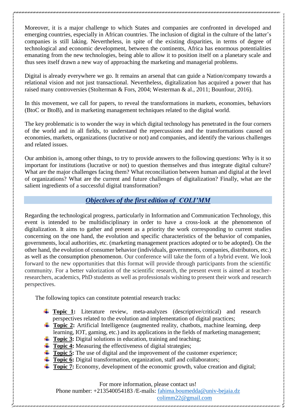Moreover, it is a major challenge to which States and companies are confronted in developed and emerging countries, especially in African countries. The inclusion of digital in the culture of the latter's companies is still laking. Nevertheless, in spite of the existing disparities, in terms of degree of technological and economic development, between the continents, Africa has enormous potentialities emanating from the new technologies, being able to allow it to position itself on a planetary scale and thus sees itself drawn a new way of approaching the marketing and managerial problems.

Digital is already everywhere we go. It remains an arsenal that can guide a Nation/company towards a relational vision and not just transactional. Nevertheless, digitalization has acquired a power that has raised many controversies (Stolterman & Fors, 2004; Westerman & al., 2011; Bounfour, 2016).

In this movement, we call for papers, to reveal the transformations in markets, economies, behaviors (BtoC or BtoB), and in marketing management techniques related to the digital world.

The key problematic is to wonder the way in which digital technology has penetrated in the four corners of the world and in all fields, to understand the repercussions and the transformations caused on economies, markets, organizations (lucrative or not) and companies, and identify the various challenges and related issues.

Our ambition is, among other things, to try to provide answers to the following questions: Why is it so important for institutions (lucrative or not) to question themselves and thus integrate digital culture? What are the major challenges facing them? What reconciliation between human and digital at the level of organizations? What are the current and future challenges of digitalization? Finally, what are the salient ingredients of a successful digital transformation?

# *Objectives of the first edition of COLI'MM*

Regarding the technological progress, particularly in Information and Communication Technology, this event is intended to be multidisciplinary in order to have a cross-look at the phenomenon of digitalization. It aims to gather and present as a priority the work corresponding to current studies concerning on the one hand, the evolution and specific characteristics of the behavior of companies, governments, local authorities, etc. (marketing management practices adopted or to be adopted). On the other hand, the evolution of consumer behavior (individuals, governments, companies, distributors, etc.) as well as the consumption phenomenon. Our conference will take the form of a hybrid event. We look forward to the new opportunities that this format will provide through participants from the scientific community. For a better valorization of the scientific research, the present event is aimed at teacherresearchers, academics, PhD students as well as professionals wishing to present their work and research perspectives.

The following topics can constitute potential research tracks:

- **Topic 1:** Literature review, meta-analyzes (descriptive/critical) and research perspectives related to the evolution and implementation of digital practices;
- **Topic 2:** Artificial Intelligence (augmented reality, chatbots, machine learning, deep learning, IOT, gaming, etc.) and its applications in the fields of marketing management;
- **Topic 3:** Digital solutions in education, training and teaching;
- **Topic 4:** Measuring the effectiveness of digital strategies;
- **Topic 5:** The use of digital and the improvement of the customer experience;
- **Topic 6:** Digital transformation, organization, staff and collaborators;
- **Topic 7:** Economy, development of the economic growth, value creation and digital;

For more information, please contact us!

Phone number: +213540054183 /E-mails: [fahima.boumedda@univ-bejaia.dz](mailto:fahima.boumedda@univ-bejaia.dz)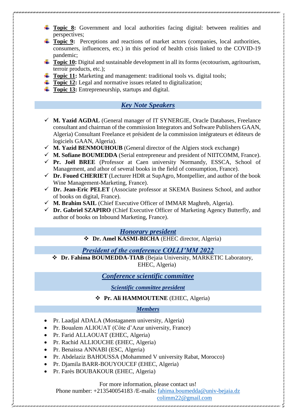- **Topic 8:** Government and local authorities facing digital: between realities and perspectives;
- **Topic 9:** Perceptions and reactions of market actors (companies, local authorities, consumers, influencers, etc.) in this period of health crisis linked to the COVID-19 pandemic;
- **Topic 10:** Digital and sustainable development in all its forms (ecotourism, agritourism, terroir products, etc.);
- **Topic 11:** Marketing and management: traditional tools vs. digital tools:
- **Topic 12:** Legal and normative issues related to digitalization;
- **Topic 13:** Entrepreneurship, startups and digital.

# *Key Note Speakers*

- **M. Yazid AGDAL** (General manager of IT SYNERGIE, Oracle Databases, Freelance consultant and chairman of the commission Integrators and Software Publishers GAAN, Algeria) Consultant Freelance et président de la commission intégrateurs et éditeurs de logiciels GAAN, Algeria).
- $\checkmark$  **M. Yazid BENMOUHOUB** (General director of the Algiers stock exchange)
- $\checkmark$  **M. Sofiane BOUMEDDA** (Serial entrepreneur and president of NIITCOMM, France).
- **Pr. Joël BREE** (Professor at Caen university Normandy, ESSCA, School of Management, and athor of several books in the field of consumption, France).
- **Dr. Foued CHERIET** (Lecturer HDR at SupAgro, Montpellier, and author of the book Wine Management-Marketing, France).
- **Dr. Jean-Eric PELET** (Associate professor at SKEMA Business School, and author of books on digital, France).
- **M. Brahim SAIL** (Chief Executive Officer of IMMAR Maghreb, Algeria).
- **Dr. Gabriel SZAPIRO** (Chief Executive Officer of Marketing Agency Butterfly, and author of books on Inbound Marketing, France).

# *Honorary president*

**Dr. Amel KASMI-BICHA** (EHEC director, Algeria)

# *President of the conference COLLI'MM 2022*

 **Dr. Fahima BOUMEDDA-TIAB** (Bejaia University, MARKETIC Laboratory, EHEC, Algeria)

# *Conference scientific committee*

*Scientific committee president*

# **Pr. Ali HAMMOUTENE** (EHEC, Algeria)

#### *Members*

- Pr. Laadjal ADALA (Mostaganem university, Algeria)
- Pr. Boualem ALIOUAT (Côte d'Azur university, France)
- Pr. Farid ALLAOUAT (EHEC, Algeria)
- Pr. Rachid ALLIOUCHE (EHEC, Algeria)
- Pr. Benaissa ANNABI (ESC, Algeria)
- Pr. Abdelaziz BAHOUSSA (Mohammed V university Rabat, Morocco)
- Pr. Diamila BARR-BOUYOUCEF (EHEC, Algeria)
- Pr. Farès BOUBAKOUR (EHEC, Algeria)

#### For more information, please contact us!

Phone number: +213540054183 /E-mails: [fahima.boumedda@univ-bejaia.dz](mailto:fahima.boumedda@univ-bejaia.dz)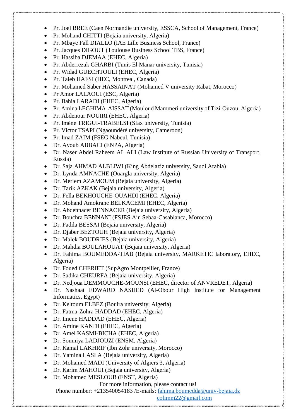- Pr. Joel BREE (Caen Normandie university, ESSCA, School of Management, France)
- Pr. Mohand CHITTI (Bejaia university, Algeria)
- Pr. Mbaye Fall DIALLO (IAE Lille Business School, France)
- Pr. Jacques DIGOUT (Toulouse Business School TBS, France)
- Pr. Hassiba DJEMAA (EHEC, Algeria)
- Pr. Abderrezak GHARBI (Tunis El Manar university, Tunisia)
- Pr. Widad GUECHTOULI (EHEC, Algeria)
- Pr. Taieb HAFSI (HEC, Montreal, Canada)
- Pr. Mohamed Saber HASSAINAT (Mohamed V university Rabat, Morocco)
- Pr Amor LALAOUI (ESC, Algeria)
- Pr. Bahia LARADI (EHEC, Algeria)
- Pr. Amina LEGHIMA-AISSAT (Mouloud Mammeri university of Tizi-Ouzou, Algeria)
- Pr. Abdenour NOUIRI (EHEC, Algeria)
- Pr. Iméne TRIGUI-TRABELSI (Sfax university, Tunisia)
- Pr. Victor TSAPI (Ngaoundéré university, Cameroon)
- Pr. Imad ZAIM (FSEG Nabeul, Tunisia)
- Dr. Ayoub ABBACI (ENPA, Algeria)
- Dr. Naser Abdel Raheem AL ALI (Law Institute of Russian University of Transport, Russia)
- Dr. Saja AHMAD ALBLIWI (King Abdelaziz university, Saudi Arabia)
- Dr. Lynda AMNACHE (Ouargla university, Algeria)
- Dr. Meriem AZAMOUM (Bejaia university, Algeria)
- Dr. Tarik AZKAK (Bejaia university, Algeria)
- Dr. Fella BEKHOUCHE-OUAHDI (EHEC, Algeria)
- Dr. Mohand Amokrane BELKACEMI (EHEC, Algeria)
- Dr. Abdennacer BENNACER (Bejaia university, Algeria)
- Dr. Bouchra BENNANI (FSJES Ain Sebaa-Casablanca, Morocco)
- Dr. Fadila BESSAI (Bejaia university, Algeria)
- Dr. Djaber BEZTOUH (Bejaia university, Algeria)
- Dr. Malek BOUDRIES (Bejaia university, Algeria)
- Dr. Mahdia BOULAHOUAT (Bejaia university, Algeria)
- Dr. Fahima BOUMEDDA-TIAB (Bejaia university, MARKETIC laboratory, EHEC, Algeria)
- Dr. Foued CHERIET (SupAgro Montpellier, France)
- Dr. Sadika CHEURFA (Bejaia university, Algeria)
- Dr. Nedjoua DEMMOUCHE-MOUNSI (EHEC, director of ANVREDET, Algeria)
- Dr. Nashaat EDWARD NASHED (Al-Obour High Institute for Management Informatics, Egypt)
- Dr. Keltoum ELBEZ (Bouira university, Algeria)
- Dr. Fatma-Zohra HADDAD (EHEC, Algeria)
- Dr. Imene HADDAD (EHEC, Algeria)
- Dr. Amine KANDI (EHEC, Algeria)
- Dr. Amel KASMI-BICHA (EHEC, Algeria)
- Dr. Soumiya LADJOUZI (ENSM, Algeria)
- Dr. Kamal LAKHRIF (Ibn Zohr university, Morocco)
- Dr. Yamina LASLA (Bejaia university, Algeria)
- Dr. Mohamed MADI (University of Algiers 3, Algeria)
- Dr. Karim MAHOUI (Bejaia university, Algeria)
- Dr. Mohamed MESLOUB (ENST, Algeria)

For more information, please contact us!

Phone number: +213540054183 /E-mails: [fahima.boumedda@univ-bejaia.dz](mailto:fahima.boumedda@univ-bejaia.dz)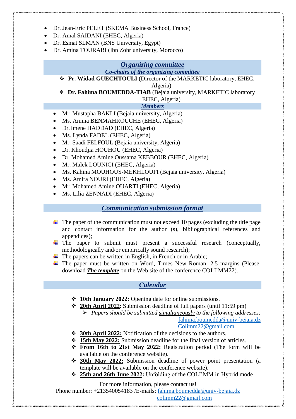- Dr. Jean-Eric PELET (SKEMA Business School, France)
- Dr. Amal SAIDANI (EHEC, Algeria)
- Dr. Esmat SLMAN (BNS University, Egypt)
- Dr. Amina TOURABI (Ibn Zohr university, Morocco)

# *Organizing committee Co-chairs of the organizing committee*

**Pr. Widad GUECHTOULI** (Director of the MARKETIC laboratory, EHEC,

Algeria)

 **Dr. Fahima BOUMEDDA-TIAB** (Bejaia university, MARKETIC laboratory EHEC, Algeria)

# *Members*

- Mr. Mustapha BAKLI (Bejaia university, Algeria)
- Ms. Amina BENMAHROUCHE (EHEC, Algeria)
- Dr. Imene HADDAD (EHEC, Algeria)
- Ms. Lynda FADEL (EHEC, Algeria)
- Mr. Saadi FELFOUL (Bejaia university, Algeria)
- Dr. Khoudiia HOUHOU (EHEC, Algeria)
- Dr. Mohamed Amine Oussama KEBBOUR (EHEC, Algeria)
- Mr. Malek LOUNICI (EHEC, Algeria)
- Ms. Kahina MOUHOUS-MEKHLOUFI (Bejaia university, Algeria)
- Ms. Amira NOURI (EHEC, Algeria)
- Mr. Mohamed Amine OUARTI (EHEC, Algeria)
- Ms. Lilia ZENNADI (EHEC, Algeria)

# *Communication submission format*

- $\ddot{\bullet}$  The paper of the communication must not exceed 10 pages (excluding the title page and contact information for the author (s), bibliographical references and appendices);
- $\overline{\text{F}}$  The paper to submit must present a successful research (conceptually, methodologically and/or empirically sound research);
- $\overline{\text{I}}$  The papers can be written in English, in French or in Arabic;
- $\overline{\text{+}}$  The paper must be written on Word, Times New Roman, 2,5 margins (Please, download *The template* on the Web site of the conference COLI'MM22).

# *Calendar*

- **10th January 2022:** Opening date for online submissions.
- **20th April 2022**: Submission deadline of full papers (until 11:59 pm)
	- *Papers should be submitted simultaneously to the following addresses:* [fahima.boumedda@univ-bejaia.dz](mailto:fahima.boumedda@univ-bejaia.dz)

[Colimm22@gmail.com](mailto:Colimm22@gmail.com)

- **30th April 2022:** Notification of the decisions to the authors.
- **15th May 2022:** Submission deadline for the final version of articles.
- **From 16th to 21st May 2022:** Registration period (The form will be available on the conference website).
- **30th May 2022:** Submission deadline of power point presentation (a template will be available on the conference website).
- **25th and 26th June 2022:** Unfolding of the COLI'MM in Hybrid mode

For more information, please contact us!

Phone number: +213540054183 /E-mails: [fahima.boumedda@univ-bejaia.dz](mailto:fahima.boumedda@univ-bejaia.dz)